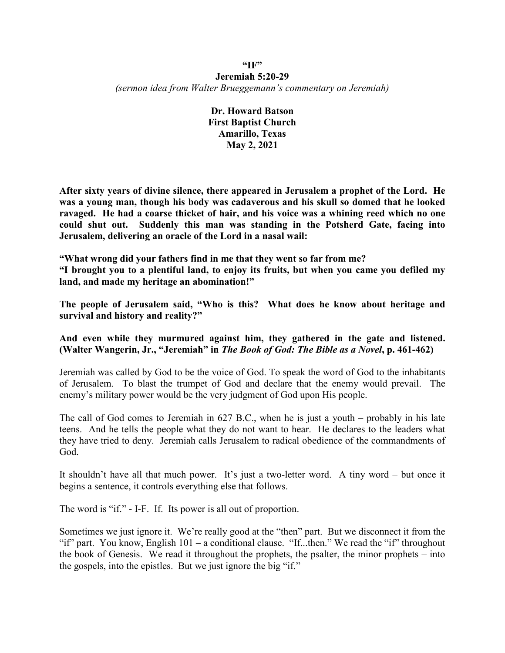## **"IF" Jeremiah 5:20-29** *(sermon idea from Walter Brueggemann's commentary on Jeremiah)*

**Dr. Howard Batson First Baptist Church Amarillo, Texas May 2, 2021**

**After sixty years of divine silence, there appeared in Jerusalem a prophet of the Lord. He was a young man, though his body was cadaverous and his skull so domed that he looked ravaged. He had a coarse thicket of hair, and his voice was a whining reed which no one could shut out. Suddenly this man was standing in the Potsherd Gate, facing into Jerusalem, delivering an oracle of the Lord in a nasal wail:**

**"What wrong did your fathers find in me that they went so far from me? "I brought you to a plentiful land, to enjoy its fruits, but when you came you defiled my land, and made my heritage an abomination!"**

**The people of Jerusalem said, "Who is this? What does he know about heritage and survival and history and reality?"**

# **And even while they murmured against him, they gathered in the gate and listened. (Walter Wangerin, Jr., "Jeremiah" in** *The Book of God: The Bible as a Novel***, p. 461-462)**

Jeremiah was called by God to be the voice of God. To speak the word of God to the inhabitants of Jerusalem. To blast the trumpet of God and declare that the enemy would prevail. The enemy's military power would be the very judgment of God upon His people.

The call of God comes to Jeremiah in 627 B.C., when he is just a youth – probably in his late teens. And he tells the people what they do not want to hear. He declares to the leaders what they have tried to deny. Jeremiah calls Jerusalem to radical obedience of the commandments of God.

It shouldn't have all that much power. It's just a two-letter word. A tiny word – but once it begins a sentence, it controls everything else that follows.

The word is "if." - I-F. If. Its power is all out of proportion.

Sometimes we just ignore it. We're really good at the "then" part. But we disconnect it from the "if" part. You know, English 101 – a conditional clause. "If...then." We read the "if" throughout the book of Genesis. We read it throughout the prophets, the psalter, the minor prophets – into the gospels, into the epistles. But we just ignore the big "if."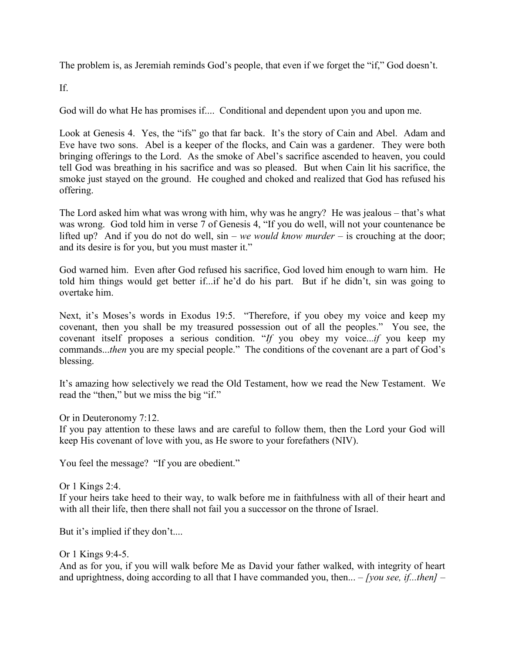The problem is, as Jeremiah reminds God's people, that even if we forget the "if," God doesn't.

If.

God will do what He has promises if.... Conditional and dependent upon you and upon me.

Look at Genesis 4. Yes, the "ifs" go that far back. It's the story of Cain and Abel. Adam and Eve have two sons. Abel is a keeper of the flocks, and Cain was a gardener. They were both bringing offerings to the Lord. As the smoke of Abel's sacrifice ascended to heaven, you could tell God was breathing in his sacrifice and was so pleased. But when Cain lit his sacrifice, the smoke just stayed on the ground. He coughed and choked and realized that God has refused his offering.

The Lord asked him what was wrong with him, why was he angry? He was jealous – that's what was wrong. God told him in verse 7 of Genesis 4, "If you do well, will not your countenance be lifted up? And if you do not do well,  $sin - we$  *would know murder* – is crouching at the door; and its desire is for you, but you must master it."

God warned him. Even after God refused his sacrifice, God loved him enough to warn him. He told him things would get better if...if he'd do his part. But if he didn't, sin was going to overtake him.

Next, it's Moses's words in Exodus 19:5. "Therefore, if you obey my voice and keep my covenant, then you shall be my treasured possession out of all the peoples." You see, the covenant itself proposes a serious condition. "*If* you obey my voice...*if* you keep my commands...*then* you are my special people." The conditions of the covenant are a part of God's blessing.

It's amazing how selectively we read the Old Testament, how we read the New Testament. We read the "then," but we miss the big "if."

Or in Deuteronomy 7:12.

If you pay attention to these laws and are careful to follow them, then the Lord your God will keep His covenant of love with you, as He swore to your forefathers (NIV).

You feel the message? "If you are obedient."

Or 1 Kings 2:4.

If your heirs take heed to their way, to walk before me in faithfulness with all of their heart and with all their life, then there shall not fail you a successor on the throne of Israel.

But it's implied if they don't....

# Or 1 Kings 9:4-5.

And as for you, if you will walk before Me as David your father walked, with integrity of heart and uprightness, doing according to all that I have commanded you, then... – *[you see, if...then]* –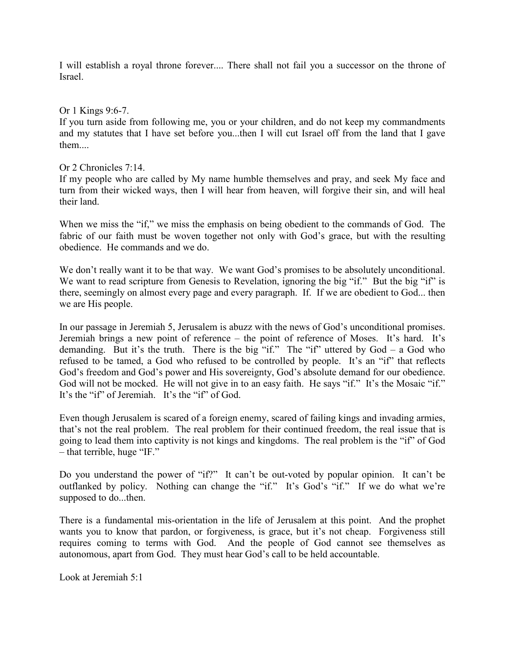I will establish a royal throne forever.... There shall not fail you a successor on the throne of Israel.

## Or 1 Kings 9:6-7.

If you turn aside from following me, you or your children, and do not keep my commandments and my statutes that I have set before you...then I will cut Israel off from the land that I gave them....

## Or 2 Chronicles 7:14.

If my people who are called by My name humble themselves and pray, and seek My face and turn from their wicked ways, then I will hear from heaven, will forgive their sin, and will heal their land.

When we miss the "if," we miss the emphasis on being obedient to the commands of God. The fabric of our faith must be woven together not only with God's grace, but with the resulting obedience. He commands and we do.

We don't really want it to be that way. We want God's promises to be absolutely unconditional. We want to read scripture from Genesis to Revelation, ignoring the big "if." But the big "if" is there, seemingly on almost every page and every paragraph. If. If we are obedient to God... then we are His people.

In our passage in Jeremiah 5, Jerusalem is abuzz with the news of God's unconditional promises. Jeremiah brings a new point of reference – the point of reference of Moses. It's hard. It's demanding. But it's the truth. There is the big "if." The "if" uttered by  $God - a God who$ refused to be tamed, a God who refused to be controlled by people. It's an "if" that reflects God's freedom and God's power and His sovereignty, God's absolute demand for our obedience. God will not be mocked. He will not give in to an easy faith. He says "if." It's the Mosaic "if." It's the "if" of Jeremiah. It's the "if" of God.

Even though Jerusalem is scared of a foreign enemy, scared of failing kings and invading armies, that's not the real problem. The real problem for their continued freedom, the real issue that is going to lead them into captivity is not kings and kingdoms. The real problem is the "if" of God – that terrible, huge "IF."

Do you understand the power of "if?" It can't be out-voted by popular opinion. It can't be outflanked by policy. Nothing can change the "if." It's God's "if." If we do what we're supposed to do...then.

There is a fundamental mis-orientation in the life of Jerusalem at this point. And the prophet wants you to know that pardon, or forgiveness, is grace, but it's not cheap. Forgiveness still requires coming to terms with God. And the people of God cannot see themselves as autonomous, apart from God. They must hear God's call to be held accountable.

Look at Jeremiah 5:1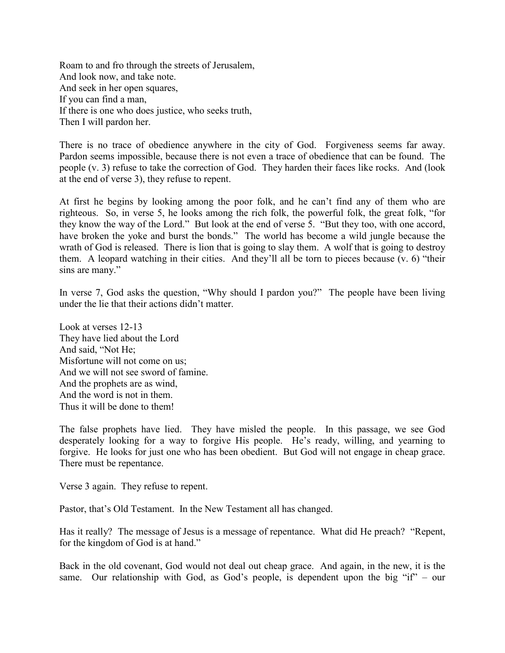Roam to and fro through the streets of Jerusalem, And look now, and take note. And seek in her open squares, If you can find a man, If there is one who does justice, who seeks truth, Then I will pardon her.

There is no trace of obedience anywhere in the city of God. Forgiveness seems far away. Pardon seems impossible, because there is not even a trace of obedience that can be found. The people (v. 3) refuse to take the correction of God. They harden their faces like rocks. And (look at the end of verse 3), they refuse to repent.

At first he begins by looking among the poor folk, and he can't find any of them who are righteous. So, in verse 5, he looks among the rich folk, the powerful folk, the great folk, "for they know the way of the Lord." But look at the end of verse 5. "But they too, with one accord, have broken the yoke and burst the bonds." The world has become a wild jungle because the wrath of God is released. There is lion that is going to slay them. A wolf that is going to destroy them. A leopard watching in their cities. And they'll all be torn to pieces because (v. 6) "their sins are many."

In verse 7, God asks the question, "Why should I pardon you?" The people have been living under the lie that their actions didn't matter.

Look at verses 12-13 They have lied about the Lord And said, "Not He; Misfortune will not come on us; And we will not see sword of famine. And the prophets are as wind, And the word is not in them. Thus it will be done to them!

The false prophets have lied. They have misled the people. In this passage, we see God desperately looking for a way to forgive His people. He's ready, willing, and yearning to forgive. He looks for just one who has been obedient. But God will not engage in cheap grace. There must be repentance.

Verse 3 again. They refuse to repent.

Pastor, that's Old Testament. In the New Testament all has changed.

Has it really? The message of Jesus is a message of repentance. What did He preach? "Repent, for the kingdom of God is at hand."

Back in the old covenant, God would not deal out cheap grace. And again, in the new, it is the same. Our relationship with God, as God's people, is dependent upon the big " $i f'' - o u$ "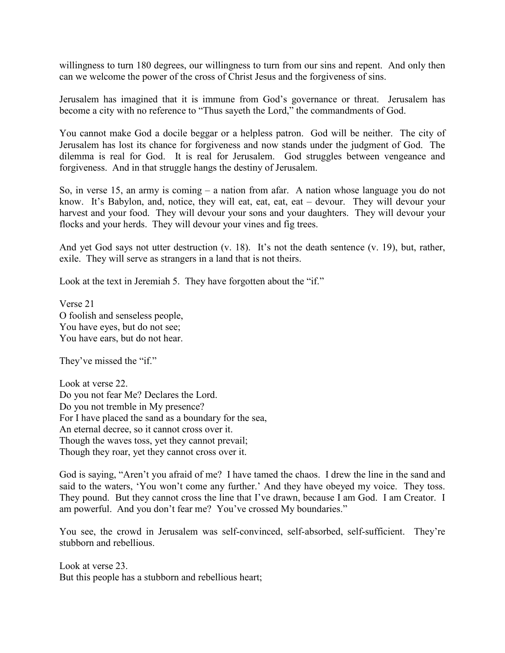willingness to turn 180 degrees, our willingness to turn from our sins and repent. And only then can we welcome the power of the cross of Christ Jesus and the forgiveness of sins.

Jerusalem has imagined that it is immune from God's governance or threat. Jerusalem has become a city with no reference to "Thus sayeth the Lord," the commandments of God.

You cannot make God a docile beggar or a helpless patron. God will be neither. The city of Jerusalem has lost its chance for forgiveness and now stands under the judgment of God. The dilemma is real for God. It is real for Jerusalem. God struggles between vengeance and forgiveness. And in that struggle hangs the destiny of Jerusalem.

So, in verse 15, an army is coming – a nation from afar. A nation whose language you do not know. It's Babylon, and, notice, they will eat, eat, eat, eat – devour. They will devour your harvest and your food. They will devour your sons and your daughters. They will devour your flocks and your herds. They will devour your vines and fig trees.

And yet God says not utter destruction (v. 18). It's not the death sentence (v. 19), but, rather, exile. They will serve as strangers in a land that is not theirs.

Look at the text in Jeremiah 5. They have forgotten about the "if."

Verse 21 O foolish and senseless people, You have eyes, but do not see; You have ears, but do not hear.

They've missed the "if."

Look at verse 22. Do you not fear Me? Declares the Lord. Do you not tremble in My presence? For I have placed the sand as a boundary for the sea, An eternal decree, so it cannot cross over it. Though the waves toss, yet they cannot prevail; Though they roar, yet they cannot cross over it.

God is saying, "Aren't you afraid of me? I have tamed the chaos. I drew the line in the sand and said to the waters, 'You won't come any further.' And they have obeyed my voice. They toss. They pound. But they cannot cross the line that I've drawn, because I am God. I am Creator. I am powerful. And you don't fear me? You've crossed My boundaries."

You see, the crowd in Jerusalem was self-convinced, self-absorbed, self-sufficient. They're stubborn and rebellious.

Look at verse 23. But this people has a stubborn and rebellious heart;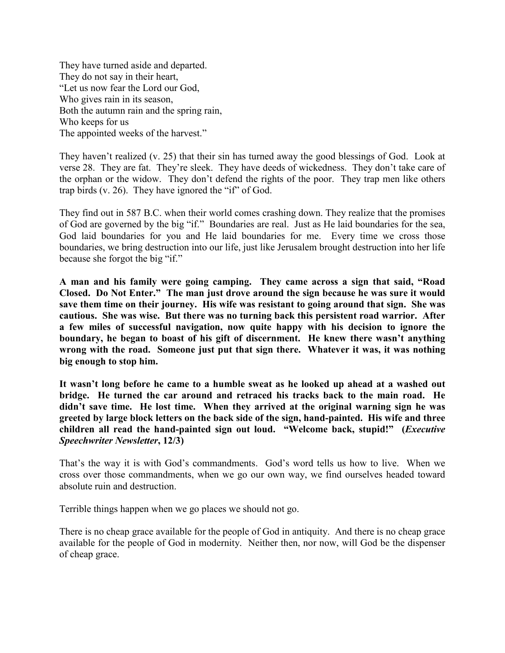They have turned aside and departed. They do not say in their heart, "Let us now fear the Lord our God, Who gives rain in its season, Both the autumn rain and the spring rain, Who keeps for us The appointed weeks of the harvest."

They haven't realized (v. 25) that their sin has turned away the good blessings of God. Look at verse 28. They are fat. They're sleek. They have deeds of wickedness. They don't take care of the orphan or the widow. They don't defend the rights of the poor. They trap men like others trap birds (v. 26). They have ignored the "if" of God.

They find out in 587 B.C. when their world comes crashing down. They realize that the promises of God are governed by the big "if." Boundaries are real. Just as He laid boundaries for the sea, God laid boundaries for you and He laid boundaries for me. Every time we cross those boundaries, we bring destruction into our life, just like Jerusalem brought destruction into her life because she forgot the big "if."

**A man and his family were going camping. They came across a sign that said, "Road Closed. Do Not Enter." The man just drove around the sign because he was sure it would save them time on their journey. His wife was resistant to going around that sign. She was cautious. She was wise. But there was no turning back this persistent road warrior. After a few miles of successful navigation, now quite happy with his decision to ignore the boundary, he began to boast of his gift of discernment. He knew there wasn't anything wrong with the road. Someone just put that sign there. Whatever it was, it was nothing big enough to stop him.**

**It wasn't long before he came to a humble sweat as he looked up ahead at a washed out bridge. He turned the car around and retraced his tracks back to the main road. He didn't save time. He lost time. When they arrived at the original warning sign he was greeted by large block letters on the back side of the sign, hand-painted. His wife and three children all read the hand-painted sign out loud. "Welcome back, stupid!" (***Executive Speechwriter Newsletter***, 12/3)**

That's the way it is with God's commandments. God's word tells us how to live. When we cross over those commandments, when we go our own way, we find ourselves headed toward absolute ruin and destruction.

Terrible things happen when we go places we should not go.

There is no cheap grace available for the people of God in antiquity. And there is no cheap grace available for the people of God in modernity. Neither then, nor now, will God be the dispenser of cheap grace.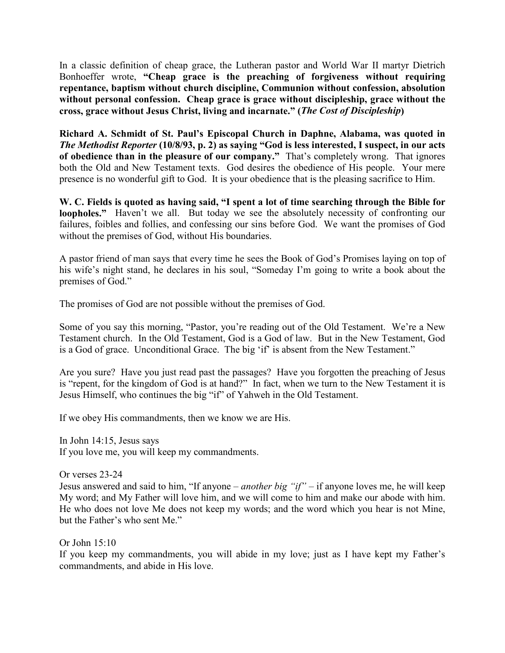In a classic definition of cheap grace, the Lutheran pastor and World War II martyr Dietrich Bonhoeffer wrote, **"Cheap grace is the preaching of forgiveness without requiring repentance, baptism without church discipline, Communion without confession, absolution without personal confession. Cheap grace is grace without discipleship, grace without the cross, grace without Jesus Christ, living and incarnate." (***The Cost of Discipleship***)**

**Richard A. Schmidt of St. Paul's Episcopal Church in Daphne, Alabama, was quoted in**  *The Methodist Reporter* **(10/8/93, p. 2) as saying "God is less interested, I suspect, in our acts of obedience than in the pleasure of our company."** That's completely wrong. That ignores both the Old and New Testament texts. God desires the obedience of His people. Your mere presence is no wonderful gift to God. It is your obedience that is the pleasing sacrifice to Him.

**W. C. Fields is quoted as having said, "I spent a lot of time searching through the Bible for loopholes."** Haven't we all. But today we see the absolutely necessity of confronting our failures, foibles and follies, and confessing our sins before God. We want the promises of God without the premises of God, without His boundaries.

A pastor friend of man says that every time he sees the Book of God's Promises laying on top of his wife's night stand, he declares in his soul, "Someday I'm going to write a book about the premises of God."

The promises of God are not possible without the premises of God.

Some of you say this morning, "Pastor, you're reading out of the Old Testament. We're a New Testament church. In the Old Testament, God is a God of law. But in the New Testament, God is a God of grace. Unconditional Grace. The big 'if' is absent from the New Testament."

Are you sure? Have you just read past the passages? Have you forgotten the preaching of Jesus is "repent, for the kingdom of God is at hand?" In fact, when we turn to the New Testament it is Jesus Himself, who continues the big "if" of Yahweh in the Old Testament.

If we obey His commandments, then we know we are His.

In John 14:15, Jesus says If you love me, you will keep my commandments.

Or verses 23-24

Jesus answered and said to him, "If anyone – *another big "if"* – if anyone loves me, he will keep My word; and My Father will love him, and we will come to him and make our abode with him. He who does not love Me does not keep my words; and the word which you hear is not Mine, but the Father's who sent Me."

Or John 15:10

If you keep my commandments, you will abide in my love; just as I have kept my Father's commandments, and abide in His love.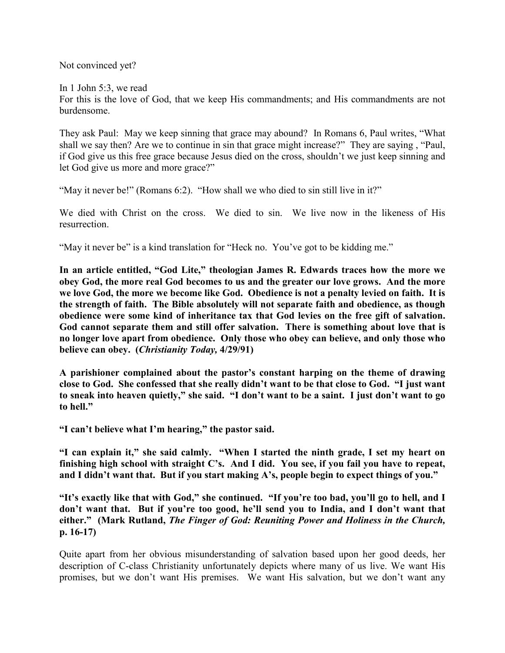Not convinced yet?

In 1 John 5:3, we read

For this is the love of God, that we keep His commandments; and His commandments are not burdensome.

They ask Paul: May we keep sinning that grace may abound? In Romans 6, Paul writes, "What shall we say then? Are we to continue in sin that grace might increase?" They are saying , "Paul, if God give us this free grace because Jesus died on the cross, shouldn't we just keep sinning and let God give us more and more grace?"

"May it never be!" (Romans 6:2). "How shall we who died to sin still live in it?"

We died with Christ on the cross. We died to sin. We live now in the likeness of His resurrection.

"May it never be" is a kind translation for "Heck no. You've got to be kidding me."

**In an article entitled, "God Lite," theologian James R. Edwards traces how the more we obey God, the more real God becomes to us and the greater our love grows. And the more we love God, the more we become like God. Obedience is not a penalty levied on faith. It is the strength of faith. The Bible absolutely will not separate faith and obedience, as though obedience were some kind of inheritance tax that God levies on the free gift of salvation. God cannot separate them and still offer salvation. There is something about love that is no longer love apart from obedience. Only those who obey can believe, and only those who believe can obey. (***Christianity Today,* **4/29/91)**

**A parishioner complained about the pastor's constant harping on the theme of drawing close to God. She confessed that she really didn't want to be that close to God. "I just want to sneak into heaven quietly," she said. "I don't want to be a saint. I just don't want to go to hell."**

**"I can't believe what I'm hearing," the pastor said.**

**"I can explain it," she said calmly. "When I started the ninth grade, I set my heart on finishing high school with straight C's. And I did. You see, if you fail you have to repeat, and I didn't want that. But if you start making A's, people begin to expect things of you."**

**"It's exactly like that with God," she continued. "If you're too bad, you'll go to hell, and I don't want that. But if you're too good, he'll send you to India, and I don't want that either." (Mark Rutland,** *The Finger of God: Reuniting Power and Holiness in the Church,* **p. 16-17)**

Quite apart from her obvious misunderstanding of salvation based upon her good deeds, her description of C-class Christianity unfortunately depicts where many of us live. We want His promises, but we don't want His premises. We want His salvation, but we don't want any